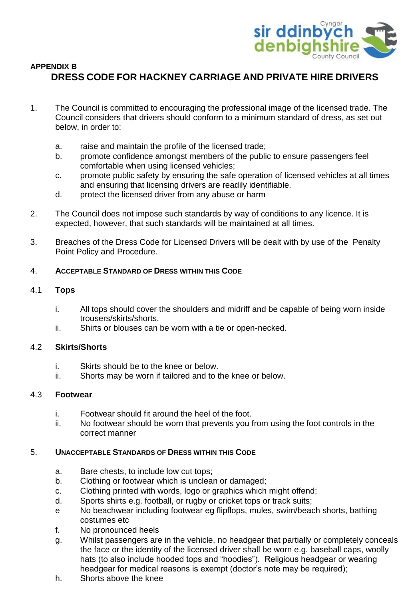

# **APPENDIX B DRESS CODE FOR HACKNEY CARRIAGE AND PRIVATE HIRE DRIVERS**

- 1. The Council is committed to encouraging the professional image of the licensed trade. The Council considers that drivers should conform to a minimum standard of dress, as set out below, in order to:
	- a. raise and maintain the profile of the licensed trade;
	- b. promote confidence amongst members of the public to ensure passengers feel comfortable when using licensed vehicles;
	- c. promote public safety by ensuring the safe operation of licensed vehicles at all times and ensuring that licensing drivers are readily identifiable.
	- d. protect the licensed driver from any abuse or harm
- 2. The Council does not impose such standards by way of conditions to any licence. It is expected, however, that such standards will be maintained at all times.
- 3. Breaches of the Dress Code for Licensed Drivers will be dealt with by use of the Penalty Point Policy and Procedure.

## 4. **ACCEPTABLE STANDARD OF DRESS WITHIN THIS CODE**

## 4.1 **Tops**

- i. All tops should cover the shoulders and midriff and be capable of being worn inside trousers/skirts/shorts.
- ii. Shirts or blouses can be worn with a tie or open-necked.

## 4.2 **Skirts/Shorts**

- i. Skirts should be to the knee or below.
- ii. Shorts may be worn if tailored and to the knee or below.

## 4.3 **Footwear**

- i. Footwear should fit around the heel of the foot.
- ii. No footwear should be worn that prevents you from using the foot controls in the correct manner

## 5. **UNACCEPTABLE STANDARDS OF DRESS WITHIN THIS CODE**

- a. Bare chests, to include low cut tops;
- b. Clothing or footwear which is unclean or damaged;
- c. Clothing printed with words, logo or graphics which might offend;
- d. Sports shirts e.g. football, or rugby or cricket tops or track suits;
- e No beachwear including footwear eg flipflops, mules, swim/beach shorts, bathing costumes etc
- f. No pronounced heels
- g. Whilst passengers are in the vehicle, no headgear that partially or completely conceals the face or the identity of the licensed driver shall be worn e.g. baseball caps, woolly hats (to also include hooded tops and "hoodies"). Religious headgear or wearing headgear for medical reasons is exempt (doctor's note may be required);
- h. Shorts above the knee